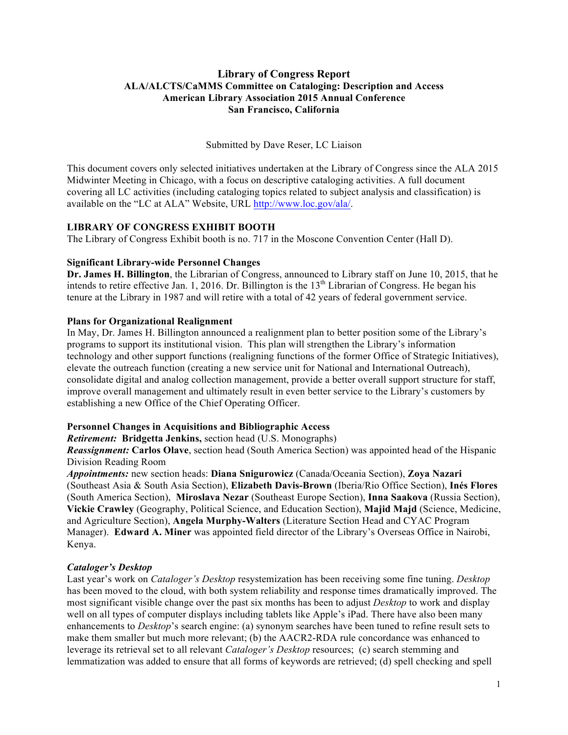## **Library of Congress Report ALA/ALCTS/CaMMS Committee on Cataloging: Description and Access American Library Association 2015 Annual Conference San Francisco, California**

Submitted by Dave Reser, LC Liaison

This document covers only selected initiatives undertaken at the Library of Congress since the ALA 2015 Midwinter Meeting in Chicago, with a focus on descriptive cataloging activities. A full document covering all LC activities (including cataloging topics related to subject analysis and classification) is available on the "LC at ALA" Website, URL http://www.loc.gov/ala/.

# **LIBRARY OF CONGRESS EXHIBIT BOOTH**

The Library of Congress Exhibit booth is no. 717 in the Moscone Convention Center (Hall D).

## **Significant Library-wide Personnel Changes**

**Dr. James H. Billington**, the Librarian of Congress, announced to Library staff on June 10, 2015, that he intends to retire effective Jan. 1, 2016. Dr. Billington is the  $13<sup>th</sup>$  Librarian of Congress. He began his tenure at the Library in 1987 and will retire with a total of 42 years of federal government service.

## **Plans for Organizational Realignment**

In May, Dr. James H. Billington announced a realignment plan to better position some of the Library's programs to support its institutional vision. This plan will strengthen the Library's information technology and other support functions (realigning functions of the former Office of Strategic Initiatives), elevate the outreach function (creating a new service unit for National and International Outreach), consolidate digital and analog collection management, provide a better overall support structure for staff, improve overall management and ultimately result in even better service to the Library's customers by establishing a new Office of the Chief Operating Officer.

## **Personnel Changes in Acquisitions and Bibliographic Access**

*Retirement:* **Bridgetta Jenkins,** section head (U.S. Monographs)

*Reassignment:* **Carlos Olave**, section head (South America Section) was appointed head of the Hispanic Division Reading Room

*Appointments:* new section heads: **Diana Snigurowicz** (Canada/Oceania Section), **Zoya Nazari** (Southeast Asia & South Asia Section), **Elizabeth Davis-Brown** (Iberia/Rio Office Section), **Inés Flores** (South America Section), **Miroslava Nezar** (Southeast Europe Section), **Inna Saakova** (Russia Section), **Vickie Crawley** (Geography, Political Science, and Education Section), **Majid Majd** (Science, Medicine, and Agriculture Section), **Angela Murphy-Walters** (Literature Section Head and CYAC Program Manager). **Edward A. Miner** was appointed field director of the Library's Overseas Office in Nairobi, Kenya.

## *Cataloger's Desktop*

Last year's work on *Cataloger's Desktop* resystemization has been receiving some fine tuning. *Desktop*  has been moved to the cloud, with both system reliability and response times dramatically improved. The most significant visible change over the past six months has been to adjust *Desktop* to work and display well on all types of computer displays including tablets like Apple's iPad. There have also been many enhancements to *Desktop*'s search engine: (a) synonym searches have been tuned to refine result sets to make them smaller but much more relevant; (b) the AACR2-RDA rule concordance was enhanced to leverage its retrieval set to all relevant *Cataloger's Desktop* resources; (c) search stemming and lemmatization was added to ensure that all forms of keywords are retrieved; (d) spell checking and spell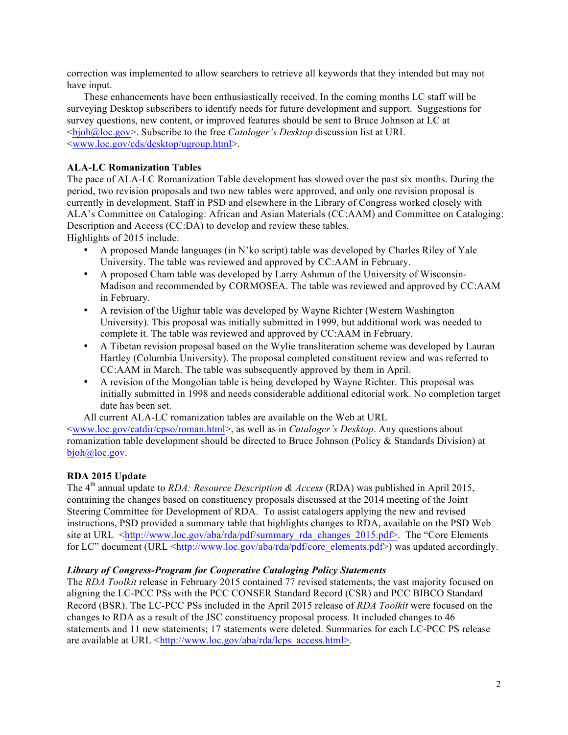correction was implemented to allow searchers to retrieve all keywords that they intended but may not have input.

These enhancements have been enthusiastically received. In the coming months LC staff will be surveying Desktop subscribers to identify needs for future development and support. Suggestions for survey questions, new content, or improved features should be sent to Bruce Johnson at LC at <bjoh@loc.gov>. Subscribe to the free *Cataloger's Desktop* discussion list at URL <www.loc.gov/cds/desktop/ugroup.html>.

## **ALA-LC Romanization Tables**

The pace of ALA-LC Romanization Table development has slowed over the past six months. During the period, two revision proposals and two new tables were approved, and only one revision proposal is currently in development. Staff in PSD and elsewhere in the Library of Congress worked closely with ALA's Committee on Cataloging: African and Asian Materials (CC:AAM) and Committee on Cataloging: Description and Access (CC:DA) to develop and review these tables. Highlights of 2015 include:

- A proposed Mande languages (in N'ko script) table was developed by Charles Riley of Yale University. The table was reviewed and approved by CC:AAM in February.
- A proposed Cham table was developed by Larry Ashmun of the University of Wisconsin-Madison and recommended by CORMOSEA. The table was reviewed and approved by CC:AAM in February.
- A revision of the Uighur table was developed by Wayne Richter (Western Washington University). This proposal was initially submitted in 1999, but additional work was needed to complete it. The table was reviewed and approved by CC:AAM in February.
- A Tibetan revision proposal based on the Wylie transliteration scheme was developed by Lauran Hartley (Columbia University). The proposal completed constituent review and was referred to CC:AAM in March. The table was subsequently approved by them in April.
- A revision of the Mongolian table is being developed by Wayne Richter. This proposal was initially submitted in 1998 and needs considerable additional editorial work. No completion target date has been set.

All current ALA-LC romanization tables are available on the Web at URL

<www.loc.gov/catdir/cpso/roman.html>, as well as in *Cataloger's Desktop*. Any questions about romanization table development should be directed to Bruce Johnson (Policy & Standards Division) at bjoh@loc.gov.

# **RDA 2015 Update**

The 4th annual update to *RDA: Resource Description & Access* (RDA) was published in April 2015, containing the changes based on constituency proposals discussed at the 2014 meeting of the Joint Steering Committee for Development of RDA. To assist catalogers applying the new and revised instructions, PSD provided a summary table that highlights changes to RDA, available on the PSD Web site at URL  $\langle$ http://www.loc.gov/aba/rda/pdf/summary\_rda\_changes\_2015.pdf>. The "Core Elements" for LC" document (URL  $\langle \text{http://www.loc.gov/aba/rda/pdf/core} \text{ elements.pdf} \rangle$ ) was updated accordingly.

## *Library of Congress-Program for Cooperative Cataloging Policy Statements*

The *RDA Toolkit* release in February 2015 contained 77 revised statements, the vast majority focused on aligning the LC-PCC PSs with the PCC CONSER Standard Record (CSR) and PCC BIBCO Standard Record (BSR). The LC-PCC PSs included in the April 2015 release of *RDA Toolkit* were focused on the changes to RDA as a result of the JSC constituency proposal process. It included changes to 46 statements and 11 new statements; 17 statements were deleted. Summaries for each LC-PCC PS release are available at URL  $\frac{\text{th}}{\text{t}}/|\text{www}|\text{loc.gov/aba/da/lens access.html}$ .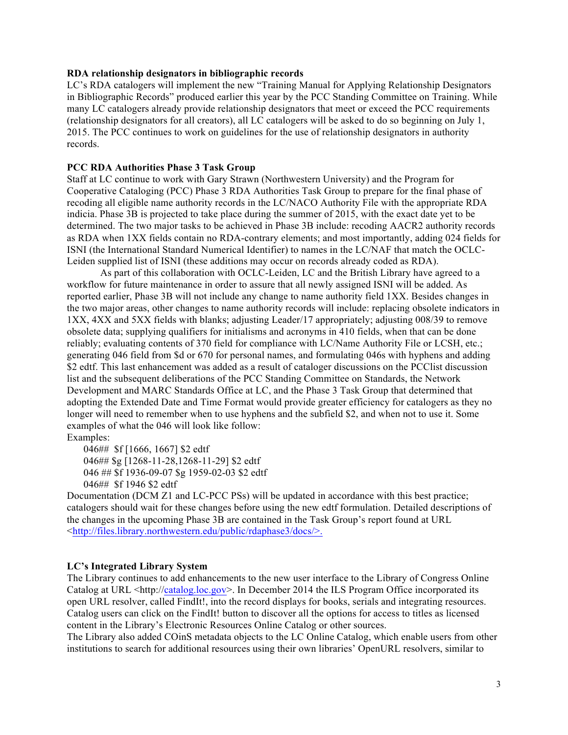#### **RDA relationship designators in bibliographic records**

LC's RDA catalogers will implement the new "Training Manual for Applying Relationship Designators in Bibliographic Records" produced earlier this year by the PCC Standing Committee on Training. While many LC catalogers already provide relationship designators that meet or exceed the PCC requirements (relationship designators for all creators), all LC catalogers will be asked to do so beginning on July 1, 2015. The PCC continues to work on guidelines for the use of relationship designators in authority records.

#### **PCC RDA Authorities Phase 3 Task Group**

Staff at LC continue to work with Gary Strawn (Northwestern University) and the Program for Cooperative Cataloging (PCC) Phase 3 RDA Authorities Task Group to prepare for the final phase of recoding all eligible name authority records in the LC/NACO Authority File with the appropriate RDA indicia. Phase 3B is projected to take place during the summer of 2015, with the exact date yet to be determined. The two major tasks to be achieved in Phase 3B include: recoding AACR2 authority records as RDA when 1XX fields contain no RDA-contrary elements; and most importantly, adding 024 fields for ISNI (the International Standard Numerical Identifier) to names in the LC/NAF that match the OCLC-Leiden supplied list of ISNI (these additions may occur on records already coded as RDA).

As part of this collaboration with OCLC-Leiden, LC and the British Library have agreed to a workflow for future maintenance in order to assure that all newly assigned ISNI will be added. As reported earlier, Phase 3B will not include any change to name authority field 1XX. Besides changes in the two major areas, other changes to name authority records will include: replacing obsolete indicators in 1XX, 4XX and 5XX fields with blanks; adjusting Leader/17 appropriately; adjusting 008/39 to remove obsolete data; supplying qualifiers for initialisms and acronyms in 410 fields, when that can be done reliably; evaluating contents of 370 field for compliance with LC/Name Authority File or LCSH, etc.; generating 046 field from \$d or 670 for personal names, and formulating 046s with hyphens and adding \$2 edtf. This last enhancement was added as a result of cataloger discussions on the PCClist discussion list and the subsequent deliberations of the PCC Standing Committee on Standards, the Network Development and MARC Standards Office at LC, and the Phase 3 Task Group that determined that adopting the Extended Date and Time Format would provide greater efficiency for catalogers as they no longer will need to remember when to use hyphens and the subfield \$2, and when not to use it. Some examples of what the 046 will look like follow:

Examples:

046## \$f [1666, 1667] \$2 edtf 046## \$g [1268-11-28,1268-11-29] \$2 edtf 046 ## \$f 1936-09-07 \$g 1959-02-03 \$2 edtf 046## \$f 1946 \$2 edtf

Documentation (DCM Z1 and LC-PCC PSs) will be updated in accordance with this best practice; catalogers should wait for these changes before using the new edtf formulation. Detailed descriptions of the changes in the upcoming Phase 3B are contained in the Task Group's report found at URL <http://files.library.northwestern.edu/public/rdaphase3/docs/>.

## **LC's Integrated Library System**

The Library continues to add enhancements to the new user interface to the Library of Congress Online Catalog at URL  $\langle$ http://catalog.loc.gov>. In December 2014 the ILS Program Office incorporated its open URL resolver, called FindIt!, into the record displays for books, serials and integrating resources. Catalog users can click on the FindIt! button to discover all the options for access to titles as licensed content in the Library's Electronic Resources Online Catalog or other sources.

The Library also added COinS metadata objects to the LC Online Catalog, which enable users from other institutions to search for additional resources using their own libraries' OpenURL resolvers, similar to